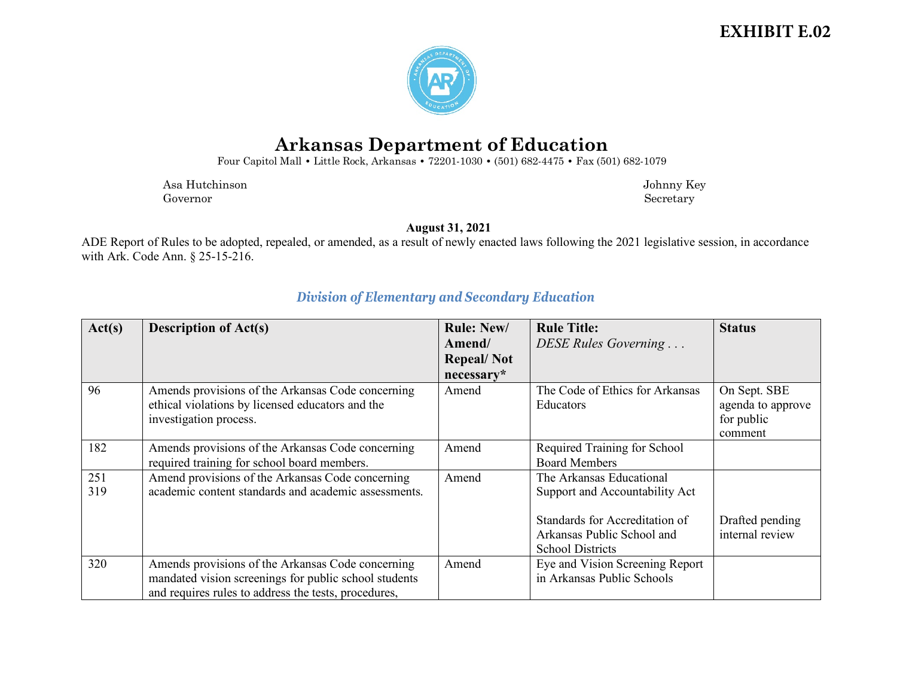### **EXHIBIT E.02**



# **Arkansas Department of Education**

Four Capitol Mall **•** Little Rock, Arkansas **•** 72201-1030 **•** (501) 682-4475 **•** Fax (501) 682-1079

Asa Hutchinson Johnny Key Governor Secretary Secretary Secretary Secretary Secretary Secretary Secretary Secretary Secretary Secretary Secretary Secretary Secretary Secretary Secretary Secretary Secretary Secretary Secretary Secretary Secretary Sec

**August 31, 2021**

ADE Report of Rules to be adopted, repealed, or amended, as a result of newly enacted laws following the 2021 legislative session, in accordance with Ark. Code Ann. § 25-15-216.

| Act(s) | <b>Description of Act(s)</b>                          | <b>Rule: New/</b> | <b>Rule Title:</b>              | <b>Status</b>     |
|--------|-------------------------------------------------------|-------------------|---------------------------------|-------------------|
|        |                                                       | Amend/            | DESE Rules Governing            |                   |
|        |                                                       | <b>Repeal/Not</b> |                                 |                   |
|        |                                                       | necessary*        |                                 |                   |
| 96     | Amends provisions of the Arkansas Code concerning     | Amend             | The Code of Ethics for Arkansas | On Sept. SBE      |
|        | ethical violations by licensed educators and the      |                   | Educators                       | agenda to approve |
|        | investigation process.                                |                   |                                 | for public        |
|        |                                                       |                   |                                 | comment           |
| 182    | Amends provisions of the Arkansas Code concerning     | Amend             | Required Training for School    |                   |
|        | required training for school board members.           |                   | <b>Board Members</b>            |                   |
| 251    | Amend provisions of the Arkansas Code concerning      | Amend             | The Arkansas Educational        |                   |
| 319    | academic content standards and academic assessments.  |                   | Support and Accountability Act  |                   |
|        |                                                       |                   |                                 |                   |
|        |                                                       |                   | Standards for Accreditation of  | Drafted pending   |
|        |                                                       |                   | Arkansas Public School and      | internal review   |
|        |                                                       |                   | <b>School Districts</b>         |                   |
| 320    | Amends provisions of the Arkansas Code concerning     | Amend             | Eye and Vision Screening Report |                   |
|        | mandated vision screenings for public school students |                   | in Arkansas Public Schools      |                   |
|        | and requires rules to address the tests, procedures,  |                   |                                 |                   |

#### *Division of Elementary and Secondary Education*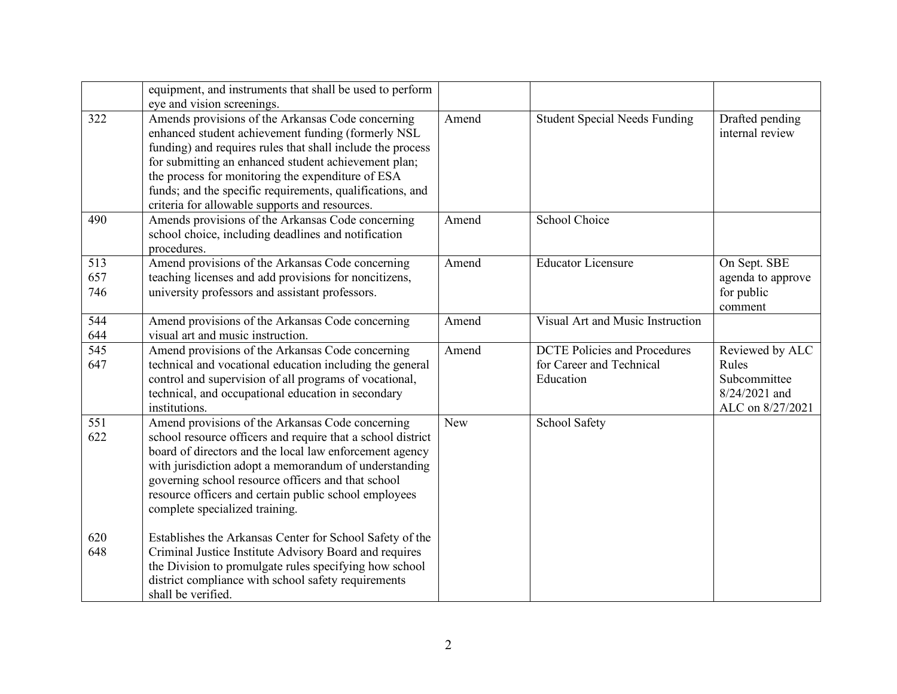|                   | equipment, and instruments that shall be used to perform<br>eye and vision screenings.                                                                                                                                                                                                                                                                                                            |            |                                                                              |                                                                               |
|-------------------|---------------------------------------------------------------------------------------------------------------------------------------------------------------------------------------------------------------------------------------------------------------------------------------------------------------------------------------------------------------------------------------------------|------------|------------------------------------------------------------------------------|-------------------------------------------------------------------------------|
| 322               | Amends provisions of the Arkansas Code concerning<br>enhanced student achievement funding (formerly NSL<br>funding) and requires rules that shall include the process<br>for submitting an enhanced student achievement plan;<br>the process for monitoring the expenditure of ESA<br>funds; and the specific requirements, qualifications, and<br>criteria for allowable supports and resources. | Amend      | <b>Student Special Needs Funding</b>                                         | Drafted pending<br>internal review                                            |
| 490               | Amends provisions of the Arkansas Code concerning<br>school choice, including deadlines and notification<br>procedures.                                                                                                                                                                                                                                                                           | Amend      | School Choice                                                                |                                                                               |
| 513<br>657<br>746 | Amend provisions of the Arkansas Code concerning<br>teaching licenses and add provisions for noncitizens,<br>university professors and assistant professors.                                                                                                                                                                                                                                      | Amend      | <b>Educator Licensure</b>                                                    | On Sept. SBE<br>agenda to approve<br>for public<br>comment                    |
| 544<br>644        | Amend provisions of the Arkansas Code concerning<br>visual art and music instruction.                                                                                                                                                                                                                                                                                                             | Amend      | Visual Art and Music Instruction                                             |                                                                               |
| 545<br>647        | Amend provisions of the Arkansas Code concerning<br>technical and vocational education including the general<br>control and supervision of all programs of vocational,<br>technical, and occupational education in secondary<br>institutions.                                                                                                                                                     | Amend      | <b>DCTE Policies and Procedures</b><br>for Career and Technical<br>Education | Reviewed by ALC<br>Rules<br>Subcommittee<br>8/24/2021 and<br>ALC on 8/27/2021 |
| 551<br>622        | Amend provisions of the Arkansas Code concerning<br>school resource officers and require that a school district<br>board of directors and the local law enforcement agency<br>with jurisdiction adopt a memorandum of understanding<br>governing school resource officers and that school<br>resource officers and certain public school employees<br>complete specialized training.              | <b>New</b> | <b>School Safety</b>                                                         |                                                                               |
| 620<br>648        | Establishes the Arkansas Center for School Safety of the<br>Criminal Justice Institute Advisory Board and requires<br>the Division to promulgate rules specifying how school<br>district compliance with school safety requirements<br>shall be verified.                                                                                                                                         |            |                                                                              |                                                                               |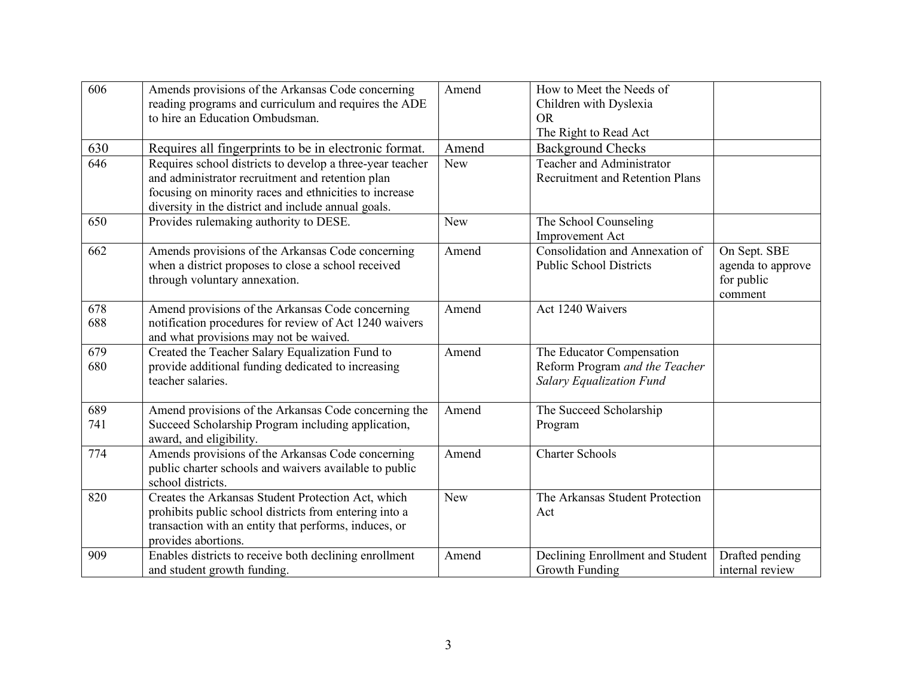| 606        | Amends provisions of the Arkansas Code concerning<br>reading programs and curriculum and requires the ADE<br>to hire an Education Ombudsman.                                                                                   | Amend      | How to Meet the Needs of<br>Children with Dyslexia<br><b>OR</b><br>The Right to Read Act       |                                                            |
|------------|--------------------------------------------------------------------------------------------------------------------------------------------------------------------------------------------------------------------------------|------------|------------------------------------------------------------------------------------------------|------------------------------------------------------------|
| 630        | Requires all fingerprints to be in electronic format.                                                                                                                                                                          | Amend      | <b>Background Checks</b>                                                                       |                                                            |
| 646        | Requires school districts to develop a three-year teacher<br>and administrator recruitment and retention plan<br>focusing on minority races and ethnicities to increase<br>diversity in the district and include annual goals. | <b>New</b> | Teacher and Administrator<br><b>Recruitment and Retention Plans</b>                            |                                                            |
| 650        | Provides rulemaking authority to DESE.                                                                                                                                                                                         | New        | The School Counseling<br><b>Improvement Act</b>                                                |                                                            |
| 662        | Amends provisions of the Arkansas Code concerning<br>when a district proposes to close a school received<br>through voluntary annexation.                                                                                      | Amend      | Consolidation and Annexation of<br><b>Public School Districts</b>                              | On Sept. SBE<br>agenda to approve<br>for public<br>comment |
| 678<br>688 | Amend provisions of the Arkansas Code concerning<br>notification procedures for review of Act 1240 waivers<br>and what provisions may not be waived.                                                                           | Amend      | Act 1240 Waivers                                                                               |                                                            |
| 679<br>680 | Created the Teacher Salary Equalization Fund to<br>provide additional funding dedicated to increasing<br>teacher salaries.                                                                                                     | Amend      | The Educator Compensation<br>Reform Program and the Teacher<br><b>Salary Equalization Fund</b> |                                                            |
| 689<br>741 | Amend provisions of the Arkansas Code concerning the<br>Succeed Scholarship Program including application,<br>award, and eligibility.                                                                                          | Amend      | The Succeed Scholarship<br>Program                                                             |                                                            |
| 774        | Amends provisions of the Arkansas Code concerning<br>public charter schools and waivers available to public<br>school districts.                                                                                               | Amend      | <b>Charter Schools</b>                                                                         |                                                            |
| 820        | Creates the Arkansas Student Protection Act, which<br>prohibits public school districts from entering into a<br>transaction with an entity that performs, induces, or<br>provides abortions.                                   | New        | The Arkansas Student Protection<br>Act                                                         |                                                            |
| 909        | Enables districts to receive both declining enrollment<br>and student growth funding.                                                                                                                                          | Amend      | Declining Enrollment and Student<br>Growth Funding                                             | Drafted pending<br>internal review                         |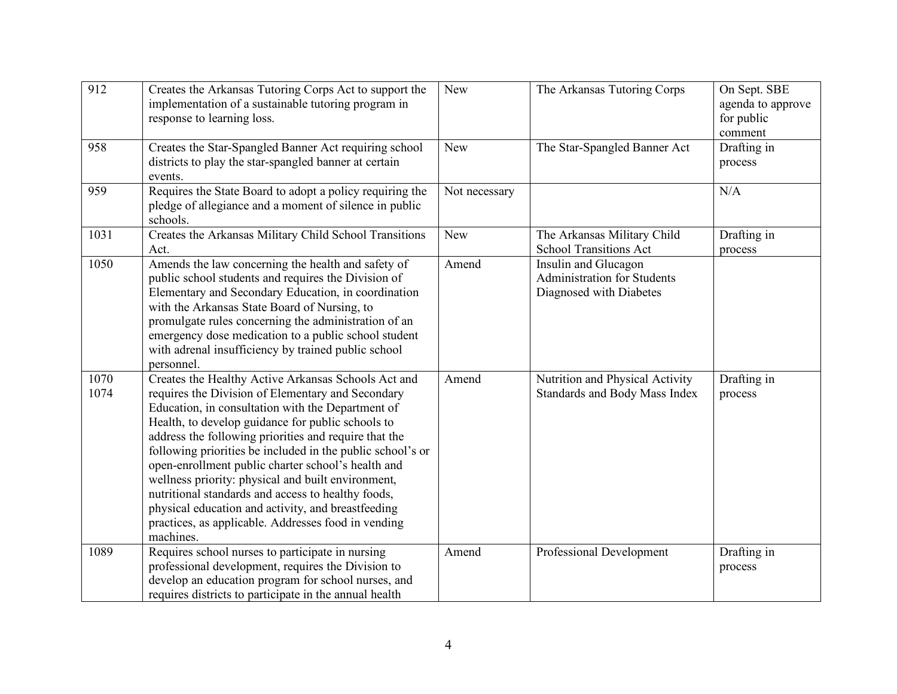| 912          | Creates the Arkansas Tutoring Corps Act to support the<br>implementation of a sustainable tutoring program in<br>response to learning loss.                                                                                                                                                                                                                                                                                                                                                                                                                                                                                           | <b>New</b>    | The Arkansas Tutoring Corps                                                           | On Sept. SBE<br>agenda to approve<br>for public<br>comment |
|--------------|---------------------------------------------------------------------------------------------------------------------------------------------------------------------------------------------------------------------------------------------------------------------------------------------------------------------------------------------------------------------------------------------------------------------------------------------------------------------------------------------------------------------------------------------------------------------------------------------------------------------------------------|---------------|---------------------------------------------------------------------------------------|------------------------------------------------------------|
| 958          | Creates the Star-Spangled Banner Act requiring school<br>districts to play the star-spangled banner at certain<br>events.                                                                                                                                                                                                                                                                                                                                                                                                                                                                                                             | <b>New</b>    | The Star-Spangled Banner Act                                                          | Drafting in<br>process                                     |
| 959          | Requires the State Board to adopt a policy requiring the<br>pledge of allegiance and a moment of silence in public<br>schools.                                                                                                                                                                                                                                                                                                                                                                                                                                                                                                        | Not necessary |                                                                                       | N/A                                                        |
| 1031         | Creates the Arkansas Military Child School Transitions<br>Act.                                                                                                                                                                                                                                                                                                                                                                                                                                                                                                                                                                        | <b>New</b>    | The Arkansas Military Child<br><b>School Transitions Act</b>                          | Drafting in<br>process                                     |
| 1050         | Amends the law concerning the health and safety of<br>public school students and requires the Division of<br>Elementary and Secondary Education, in coordination<br>with the Arkansas State Board of Nursing, to<br>promulgate rules concerning the administration of an<br>emergency dose medication to a public school student<br>with adrenal insufficiency by trained public school<br>personnel.                                                                                                                                                                                                                                 | Amend         | Insulin and Glucagon<br><b>Administration for Students</b><br>Diagnosed with Diabetes |                                                            |
| 1070<br>1074 | Creates the Healthy Active Arkansas Schools Act and<br>requires the Division of Elementary and Secondary<br>Education, in consultation with the Department of<br>Health, to develop guidance for public schools to<br>address the following priorities and require that the<br>following priorities be included in the public school's or<br>open-enrollment public charter school's health and<br>wellness priority: physical and built environment,<br>nutritional standards and access to healthy foods,<br>physical education and activity, and breastfeeding<br>practices, as applicable. Addresses food in vending<br>machines. | Amend         | Nutrition and Physical Activity<br>Standards and Body Mass Index                      | Drafting in<br>process                                     |
| 1089         | Requires school nurses to participate in nursing<br>professional development, requires the Division to<br>develop an education program for school nurses, and<br>requires districts to participate in the annual health                                                                                                                                                                                                                                                                                                                                                                                                               | Amend         | Professional Development                                                              | Drafting in<br>process                                     |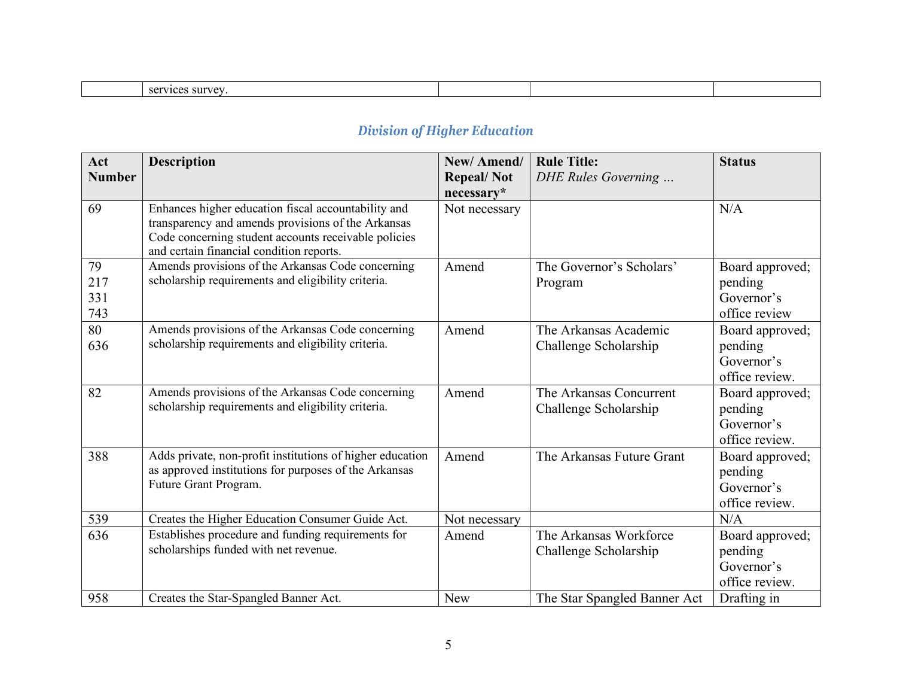| $c$ $\alpha r$<br>. survey<br>1700<br>16.63<br>50 U |  |  |
|-----------------------------------------------------|--|--|

## *Division of Higher Education*

| Act<br><b>Number</b>    | <b>Description</b>                                                                                                                                                                                            | New/Amend/<br><b>Repeal/Not</b> | <b>Rule Title:</b><br>DHE Rules Governing        | <b>Status</b>                                              |
|-------------------------|---------------------------------------------------------------------------------------------------------------------------------------------------------------------------------------------------------------|---------------------------------|--------------------------------------------------|------------------------------------------------------------|
| 69                      | Enhances higher education fiscal accountability and<br>transparency and amends provisions of the Arkansas<br>Code concerning student accounts receivable policies<br>and certain financial condition reports. | necessary*<br>Not necessary     |                                                  | N/A                                                        |
| 79<br>217<br>331<br>743 | Amends provisions of the Arkansas Code concerning<br>scholarship requirements and eligibility criteria.                                                                                                       | Amend                           | The Governor's Scholars'<br>Program              | Board approved;<br>pending<br>Governor's<br>office review  |
| 80<br>636               | Amends provisions of the Arkansas Code concerning<br>scholarship requirements and eligibility criteria.                                                                                                       | Amend                           | The Arkansas Academic<br>Challenge Scholarship   | Board approved;<br>pending<br>Governor's<br>office review. |
| 82                      | Amends provisions of the Arkansas Code concerning<br>scholarship requirements and eligibility criteria.                                                                                                       | Amend                           | The Arkansas Concurrent<br>Challenge Scholarship | Board approved;<br>pending<br>Governor's<br>office review. |
| 388                     | Adds private, non-profit institutions of higher education<br>as approved institutions for purposes of the Arkansas<br>Future Grant Program.                                                                   | Amend                           | The Arkansas Future Grant                        | Board approved;<br>pending<br>Governor's<br>office review. |
| 539                     | Creates the Higher Education Consumer Guide Act.                                                                                                                                                              | Not necessary                   |                                                  | N/A                                                        |
| 636                     | Establishes procedure and funding requirements for<br>scholarships funded with net revenue.                                                                                                                   | Amend                           | The Arkansas Workforce<br>Challenge Scholarship  | Board approved;<br>pending<br>Governor's<br>office review. |
| 958                     | Creates the Star-Spangled Banner Act.                                                                                                                                                                         | <b>New</b>                      | The Star Spangled Banner Act                     | Drafting in                                                |